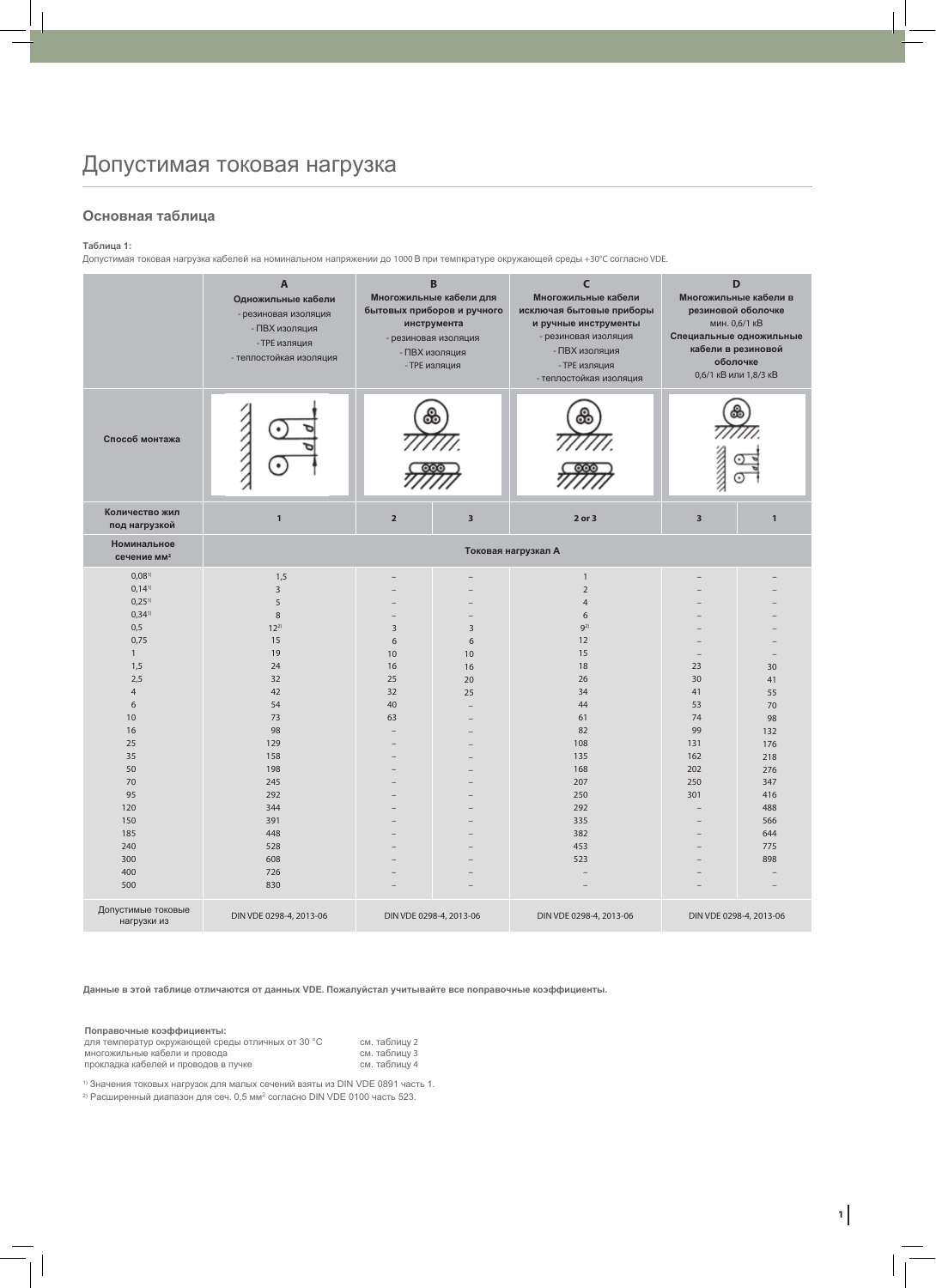## **Основная таблица**

#### **Таблица 1:**

Допустимая токовая нагрузка кабелей на номинальном напряжении до 1000 В при темпкратуре окружающей среды +30°C согласно VDE.

|                                              | $\overline{A}$<br>Одножильные кабели<br>- резиновая изоляция<br>- ПВХ изоляция<br>- ТРЕ изляция<br>- теплостойкая изоляция | B<br>Многожильные кабели для<br>бытовых приборов и ручного<br>инструмента<br>- резиновая изоляция<br>- ПВХ изоляция<br>- ТРЕ изляция |                         | $\epsilon$<br>Многожильные кабели<br>исключая бытовые приборы<br>и ручные инструменты<br>- резиновая изоляция<br>- ПВХ изоляция<br>- ТРЕ изляция<br>- теплостойкая изоляция | D<br>Многожильные кабели в<br>резиновой оболочке<br>мин. 0,6/1 кВ<br>Специальные одножильные<br>кабели в резиновой<br>оболочке<br>0,6/1 кВ или 1,8/3 кВ |                          |  |  |
|----------------------------------------------|----------------------------------------------------------------------------------------------------------------------------|--------------------------------------------------------------------------------------------------------------------------------------|-------------------------|-----------------------------------------------------------------------------------------------------------------------------------------------------------------------------|---------------------------------------------------------------------------------------------------------------------------------------------------------|--------------------------|--|--|
| Способ монтажа                               | ٠                                                                                                                          | ഌ                                                                                                                                    |                         | രാ                                                                                                                                                                          |                                                                                                                                                         |                          |  |  |
| Количество жил<br>под нагрузкой              | $\overline{1}$                                                                                                             | $\overline{2}$                                                                                                                       | $\overline{\mathbf{3}}$ | $2$ or $3$                                                                                                                                                                  | $\overline{\mathbf{3}}$                                                                                                                                 | $\mathbf{1}$             |  |  |
| Номинальное<br>сечение мм <sup>2</sup>       |                                                                                                                            | Токовая нагрузкал А                                                                                                                  |                         |                                                                                                                                                                             |                                                                                                                                                         |                          |  |  |
| $0,08$ <sup>1)</sup>                         | 1,5                                                                                                                        |                                                                                                                                      |                         | $\mathbf{1}$                                                                                                                                                                |                                                                                                                                                         |                          |  |  |
| $0,14$ <sup>1)</sup>                         | 3<br>5                                                                                                                     |                                                                                                                                      |                         | $\sqrt{2}$                                                                                                                                                                  |                                                                                                                                                         |                          |  |  |
| $0,25$ <sup>1)</sup><br>$0,34$ <sup>1)</sup> | 8                                                                                                                          |                                                                                                                                      |                         | $\overline{4}$<br>6                                                                                                                                                         |                                                                                                                                                         |                          |  |  |
| 0,5                                          | $12^{2}$                                                                                                                   | 3                                                                                                                                    | $\overline{3}$          | $9^{2)}$                                                                                                                                                                    |                                                                                                                                                         |                          |  |  |
| 0,75                                         | 15                                                                                                                         | 6                                                                                                                                    | 6                       | 12                                                                                                                                                                          |                                                                                                                                                         |                          |  |  |
| $\mathbf{1}$                                 | 19                                                                                                                         | 10                                                                                                                                   | 10                      | 15                                                                                                                                                                          | $\equiv$                                                                                                                                                | $\overline{\phantom{0}}$ |  |  |
| 1,5                                          | 24                                                                                                                         | 16                                                                                                                                   | 16                      | 18                                                                                                                                                                          | 23                                                                                                                                                      | 30                       |  |  |
| 2.5                                          | 32                                                                                                                         | 25                                                                                                                                   | 20                      | 26                                                                                                                                                                          | 30                                                                                                                                                      | 41                       |  |  |
| $\overline{4}$                               | 42                                                                                                                         | 32                                                                                                                                   | 25                      | 34                                                                                                                                                                          | 41                                                                                                                                                      | 55                       |  |  |
| 6                                            | 54                                                                                                                         | 40                                                                                                                                   |                         | 44                                                                                                                                                                          | 53                                                                                                                                                      | 70                       |  |  |
| 10                                           | 73                                                                                                                         | 63                                                                                                                                   |                         | 61                                                                                                                                                                          | 74                                                                                                                                                      | 98                       |  |  |
| 16                                           | 98                                                                                                                         | ۳                                                                                                                                    |                         | 82                                                                                                                                                                          | 99                                                                                                                                                      | 132                      |  |  |
| 25                                           | 129                                                                                                                        |                                                                                                                                      |                         | 108                                                                                                                                                                         | 131                                                                                                                                                     | 176                      |  |  |
| 35                                           | 158                                                                                                                        |                                                                                                                                      |                         | 135                                                                                                                                                                         | 162                                                                                                                                                     | 218                      |  |  |
| 50                                           | 198                                                                                                                        |                                                                                                                                      |                         | 168                                                                                                                                                                         | 202                                                                                                                                                     | 276                      |  |  |
| 70                                           | 245                                                                                                                        |                                                                                                                                      |                         | 207                                                                                                                                                                         | 250                                                                                                                                                     | 347                      |  |  |
| 95                                           | 292                                                                                                                        |                                                                                                                                      |                         | 250                                                                                                                                                                         | 301                                                                                                                                                     | 416                      |  |  |
| 120                                          | 344                                                                                                                        |                                                                                                                                      |                         | 292                                                                                                                                                                         | $\equiv$                                                                                                                                                | 488                      |  |  |
| 150                                          | 391                                                                                                                        |                                                                                                                                      |                         | 335                                                                                                                                                                         |                                                                                                                                                         | 566                      |  |  |
| 185                                          | 448                                                                                                                        |                                                                                                                                      |                         | 382                                                                                                                                                                         |                                                                                                                                                         | 644                      |  |  |
| 240<br>300                                   | 528<br>608                                                                                                                 |                                                                                                                                      |                         | 453<br>523                                                                                                                                                                  |                                                                                                                                                         | 775<br>898               |  |  |
| 400                                          | 726                                                                                                                        |                                                                                                                                      |                         |                                                                                                                                                                             |                                                                                                                                                         |                          |  |  |
| 500                                          | 830                                                                                                                        |                                                                                                                                      |                         | $\sim$                                                                                                                                                                      |                                                                                                                                                         | $\overline{\phantom{a}}$ |  |  |
| Допустимые токовые<br>нагрузки из            | DIN VDE 0298-4, 2013-06                                                                                                    | DIN VDE 0298-4, 2013-06                                                                                                              |                         | DIN VDE 0298-4, 2013-06                                                                                                                                                     |                                                                                                                                                         | DIN VDE 0298-4, 2013-06  |  |  |

**Данные в этой таблице отличаются от данных VDE. Пожалуйста, учитывайте все поправочные коэффициенты.**

| Поправочные коэффициенты:                         |               |
|---------------------------------------------------|---------------|
| для температур окружающей среды отличных от 30 °С | см. таблицу 2 |
| многожильные кабели и провода                     | см. таблицу 3 |
| прокладка кабелей и проводов в пучке              | см. таблицу 4 |

1) Значения токовых нагрузок для малых сечений взяты из DIN VDE 0891 часть 1.

<sup>2)</sup> Расширенный диапазон для сеч. 0,5 мм<sup>2</sup> согласно DIN VDE 0100 часть 523.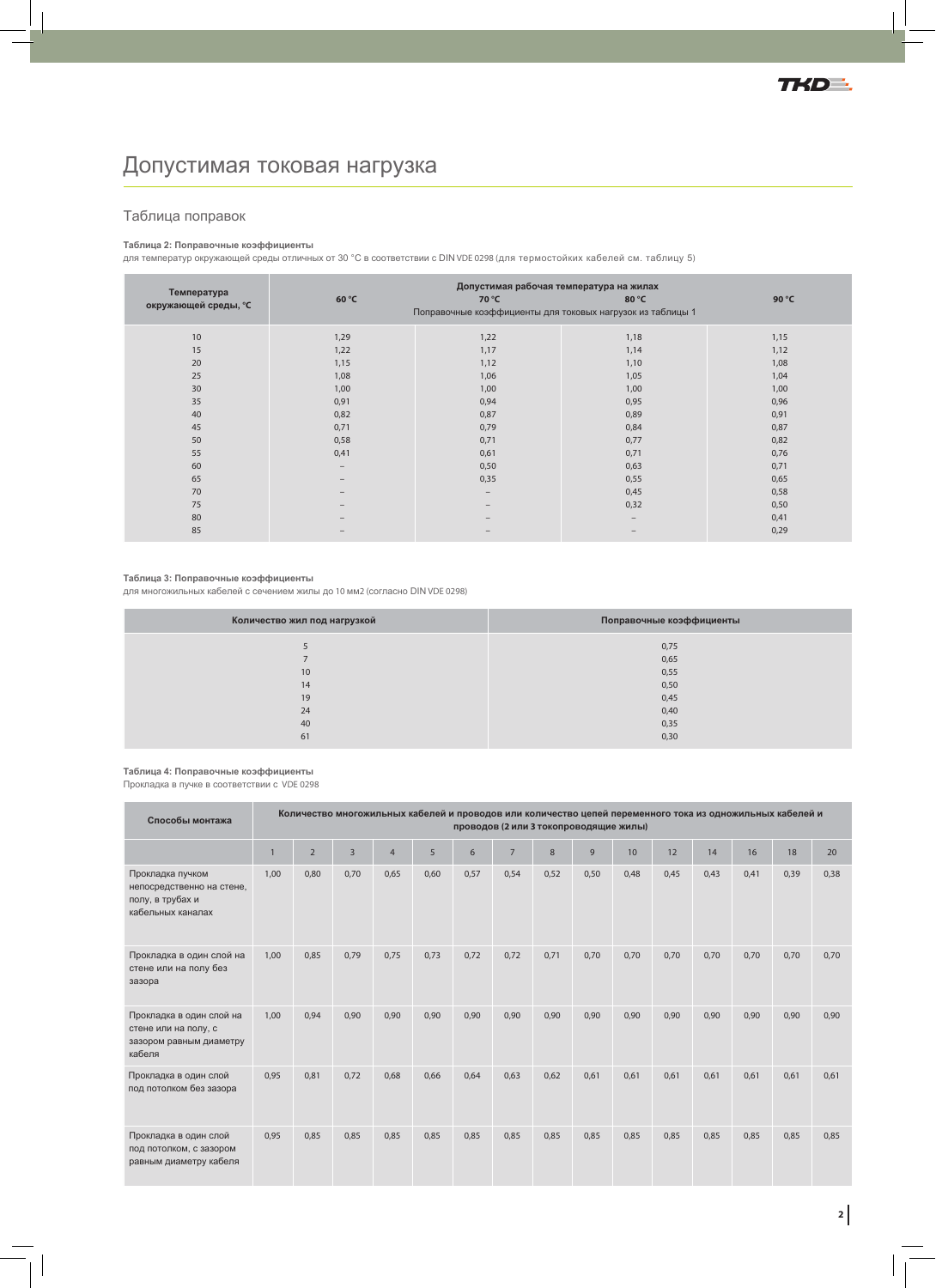# Допустимая токовая нагрузка

## Таблица поправок

### **Таблица 2: Поправочные коэффициенты**

для температур окружающей среды отличных от 30 °С в соответствии с DIN VDE 0298 (для термостойких кабелей см. таблицу 5)

| Температура          | Допустимая рабочая температура на жилах                    |                   |                   |       |  |  |  |  |
|----------------------|------------------------------------------------------------|-------------------|-------------------|-------|--|--|--|--|
| окружающей среды, °С | 60 °C                                                      | 70 °C             | 80 °C             | 90 °C |  |  |  |  |
|                      | Поправочные коэффициенты для токовых нагрузок из таблицы 1 |                   |                   |       |  |  |  |  |
| 10                   | 1,29                                                       | 1,22              | 1,18              | 1,15  |  |  |  |  |
| 15                   | 1,22                                                       | 1,17              | 1,14              | 1,12  |  |  |  |  |
| 20                   | 1,15                                                       | 1,12              | 1,10              | 1,08  |  |  |  |  |
| 25                   | 1,08                                                       | 1,06              | 1,05              | 1,04  |  |  |  |  |
| 30                   | 1,00                                                       | 1,00              | 1,00              | 1,00  |  |  |  |  |
| 35                   | 0,91                                                       | 0,94              | 0,95              | 0,96  |  |  |  |  |
| 40                   | 0,82                                                       | 0,87              | 0,89              | 0,91  |  |  |  |  |
| 45                   | 0,71                                                       | 0,79              | 0,84              | 0,87  |  |  |  |  |
| 50                   | 0,58                                                       | 0,71              | 0,77              | 0,82  |  |  |  |  |
| 55                   | 0,41                                                       | 0,61              | 0,71              | 0,76  |  |  |  |  |
| 60                   | $\overline{\phantom{m}}$                                   | 0,50              | 0,63              | 0,71  |  |  |  |  |
| 65                   | $\qquad \qquad -$                                          | 0,35              | 0,55              | 0,65  |  |  |  |  |
| 70                   | $\overline{\phantom{m}}$                                   | $\qquad \qquad -$ | 0,45              | 0,58  |  |  |  |  |
| 75                   | $\qquad \qquad$                                            | $\qquad \qquad -$ | 0,32              | 0,50  |  |  |  |  |
| 80                   | $\qquad \qquad$                                            |                   | $\qquad \qquad -$ | 0,41  |  |  |  |  |
| 85                   |                                                            |                   | -                 | 0,29  |  |  |  |  |

### **Таблица 3: Поправочные коэффициенты**

для многожильных кабелей с сечением жилы до 10 мм2 (согласно DIN VDE 0298)

| Количество жил под нагрузкой | Поправочные коэффициенты |
|------------------------------|--------------------------|
|                              | 0,75                     |
|                              | 0,65                     |
| 10                           | 0,55                     |
| 14                           | 0,50                     |
| 19                           | 0,45                     |
| 24                           | 0,40                     |
| 40                           | 0,35                     |
| 61                           | 0,30                     |
|                              |                          |

**Таблица 4: Поправочные коэффициенты**

Прокладка в пучке в соответствии с VDE 0298

| Способы монтажа                                                                        | Количество многожильных кабелей и проводов или количество цепей переменного тока из одножильных кабелей и<br>проводов (2 или 3 токопроводящие жилы) |                |                |                |      |      |                |      |      |      |      |      |      |      |      |
|----------------------------------------------------------------------------------------|-----------------------------------------------------------------------------------------------------------------------------------------------------|----------------|----------------|----------------|------|------|----------------|------|------|------|------|------|------|------|------|
|                                                                                        |                                                                                                                                                     | $\overline{2}$ | $\overline{3}$ | $\overline{4}$ | 5    | 6    | $\overline{7}$ | 8    | 9    | 10   | 12   | 14   | 16   | 18   | 20   |
| Прокладка пучком<br>непосредственно на стене,<br>полу, в трубах и<br>кабельных каналах | 1.00                                                                                                                                                | 0,80           | 0,70           | 0,65           | 0,60 | 0,57 | 0,54           | 0,52 | 0,50 | 0,48 | 0,45 | 0,43 | 0,41 | 0,39 | 0,38 |
| Прокладка в один слой на<br>стене или на полу без<br>зазора                            | 1,00                                                                                                                                                | 0,85           | 0,79           | 0,75           | 0,73 | 0,72 | 0,72           | 0,71 | 0,70 | 0,70 | 0,70 | 0,70 | 0,70 | 0,70 | 0,70 |
| Прокладка в один слой на<br>стене или на полу, с<br>зазором равным диаметру<br>кабеля  | 1,00                                                                                                                                                | 0,94           | 0,90           | 0,90           | 0,90 | 0,90 | 0,90           | 0,90 | 0,90 | 0,90 | 0,90 | 0,90 | 0,90 | 0,90 | 0,90 |
| Прокладка в один слой<br>под потолком без зазора                                       | 0,95                                                                                                                                                | 0,81           | 0,72           | 0,68           | 0,66 | 0,64 | 0,63           | 0,62 | 0,61 | 0,61 | 0,61 | 0,61 | 0,61 | 0,61 | 0,61 |
| Прокладка в один слой<br>под потолком, с зазором<br>равным диаметру кабеля             | 0,95                                                                                                                                                | 0,85           | 0,85           | 0,85           | 0,85 | 0,85 | 0,85           | 0,85 | 0,85 | 0,85 | 0,85 | 0,85 | 0,85 | 0,85 | 0,85 |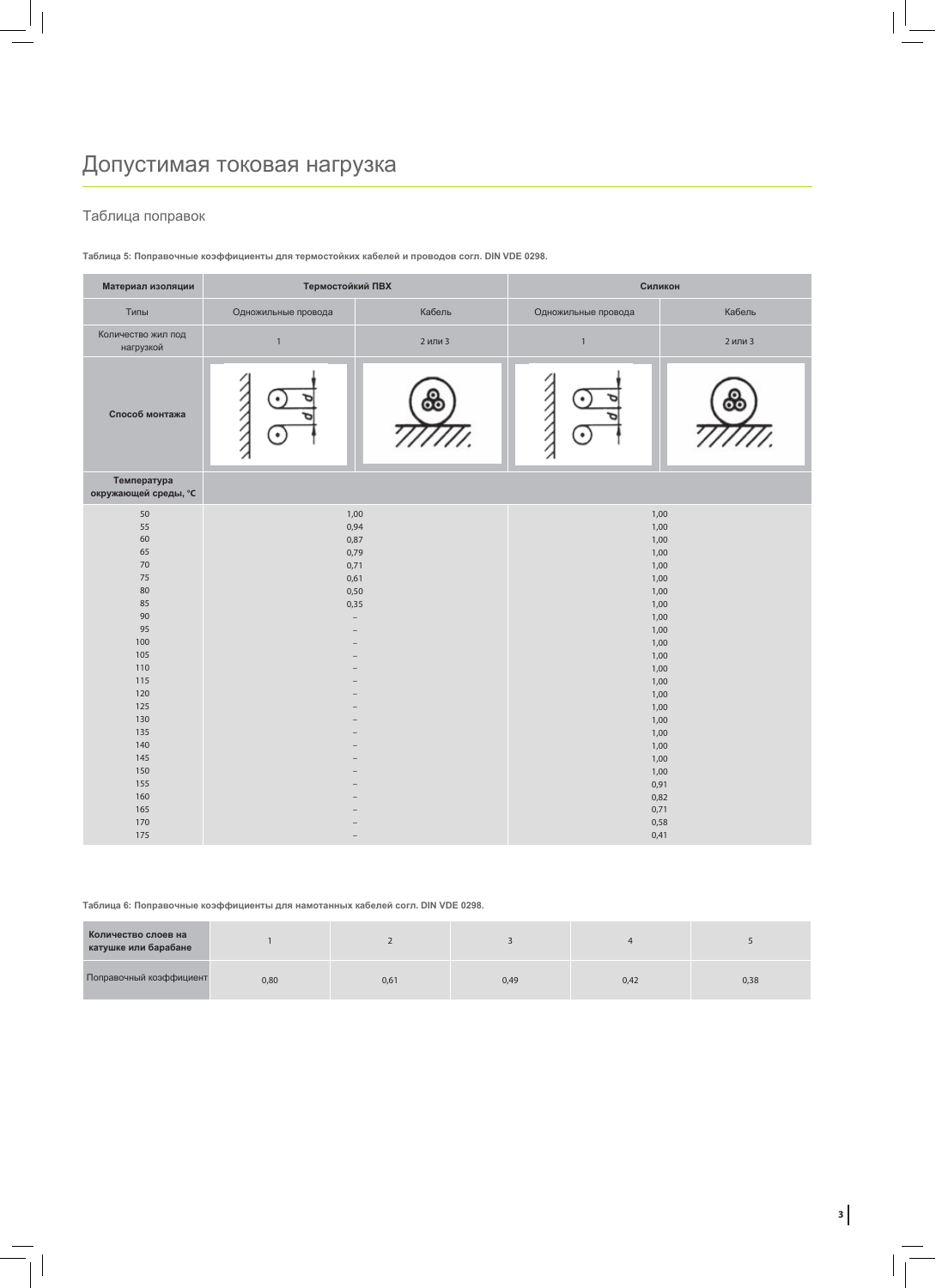## Таблица поправок

**Таблица 5: Поправочные коэффициенты для термостойких кабелей и проводов согл. DIN VDE 0298.**

| Материал изоляции                   | Термостойкий ПВХ         |         | Силикон       |                         |  |  |  |
|-------------------------------------|--------------------------|---------|---------------|-------------------------|--|--|--|
| Типы                                | Одножильные провода      | Кабель  |               | Кабель                  |  |  |  |
| Количество жил под<br>нагрузкой     | $\mathbbm{1}$            | 2 или 3 | $\mathbbm{1}$ | 2 или 3                 |  |  |  |
| Способ монтажа                      | ٠<br>٠                   | ஃ       | ٠             | $\overline{\mathbf{o}}$ |  |  |  |
| Температура<br>окружающей среды, °С |                          |         |               |                         |  |  |  |
| $50\,$                              | 1,00                     |         | 1,00          |                         |  |  |  |
| 55                                  | 0,94                     |         | 1,00          |                         |  |  |  |
| 60                                  | 0,87                     |         | 1,00          |                         |  |  |  |
| 65                                  | 0,79                     |         | 1,00          |                         |  |  |  |
| $70\,$                              | 0,71                     |         | 1,00          |                         |  |  |  |
| 75                                  | 0,61                     |         | 1,00          |                         |  |  |  |
| 80                                  | 0,50                     |         | 1,00          |                         |  |  |  |
| 85                                  | 0,35                     |         | 1,00          |                         |  |  |  |
| 90                                  | $\overline{\phantom{0}}$ |         | 1,00          |                         |  |  |  |
| 95                                  |                          |         | 1,00          |                         |  |  |  |
| 100                                 |                          |         | 1,00          |                         |  |  |  |
| 105                                 |                          |         | 1,00          |                         |  |  |  |
| 110                                 |                          |         | 1,00          |                         |  |  |  |
| 115                                 |                          |         | 1,00          |                         |  |  |  |
| 120                                 |                          |         | 1,00          |                         |  |  |  |
| 125                                 |                          |         | 1,00          |                         |  |  |  |
| 130                                 |                          |         | 1,00          |                         |  |  |  |
| 135                                 |                          |         | 1,00          |                         |  |  |  |
| 140                                 |                          |         | 1,00          |                         |  |  |  |
| 145                                 |                          |         | 1,00          |                         |  |  |  |
| 150                                 |                          |         | 1,00          |                         |  |  |  |
| 155                                 |                          |         | 0,91          |                         |  |  |  |
| 160                                 |                          |         | 0,82          |                         |  |  |  |
| 165                                 |                          |         | 0,71          |                         |  |  |  |
| 170                                 |                          |         | 0,58          |                         |  |  |  |
| 175                                 |                          |         | 0,41          |                         |  |  |  |

**Таблица 6: Поправочные коэффициенты для намотанных кабелей согл. DIN VDE 0298.**

| Количество слоев на<br>катушке или барабане |      |      |      |      |      |
|---------------------------------------------|------|------|------|------|------|
| Поправочный коэффициент                     | 0,80 | 0,61 | 0,49 | 0,42 | 0,38 |